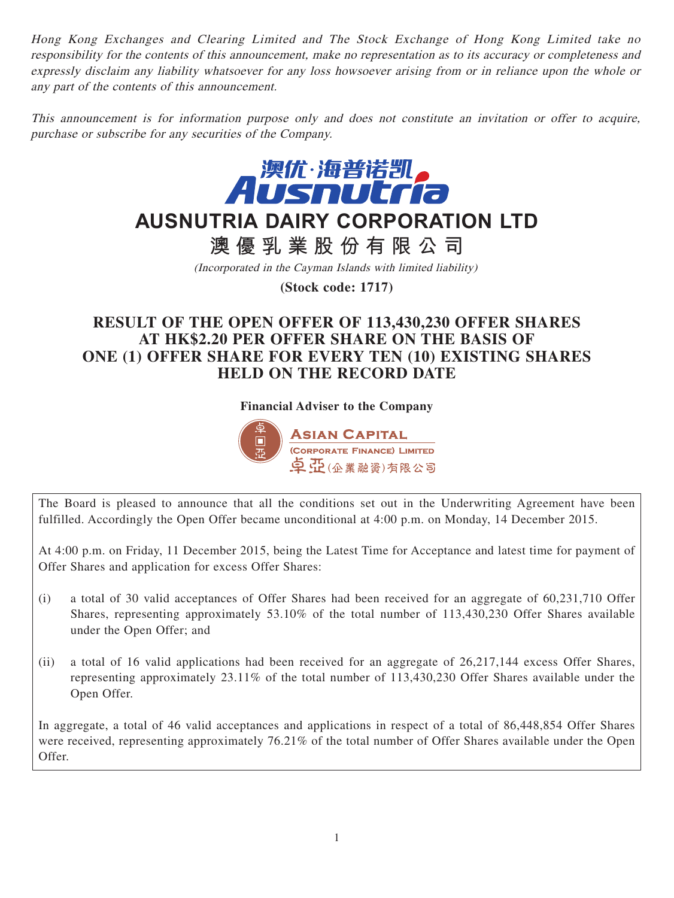Hong Kong Exchanges and Clearing Limited and The Stock Exchange of Hong Kong Limited take no responsibility for the contents of this announcement, make no representation as to its accuracy or completeness and expressly disclaim any liability whatsoever for any loss howsoever arising from or in reliance upon the whole or any part of the contents of this announcement.

This announcement is for information purpose only and does not constitute an invitation or offer to acquire, purchase or subscribe for any securities of the Company.



# **AUSNUTRIA DAIRY CORPORATION LTD**

**澳優乳業股份有限公司**

(Incorporated in the Cayman Islands with limited liability)

**(Stock code: 1717)**

# **RESULT OF THE OPEN OFFER OF 113,430,230 OFFER SHARES AT HK\$2.20 PER OFFER SHARE ON THE BASIS OF ONE (1) OFFER SHARE FOR EVERY TEN (10) EXISTING SHARES HELD ON THE RECORD DATE**

**Financial Adviser to the Company**



The Board is pleased to announce that all the conditions set out in the Underwriting Agreement have been fulfilled. Accordingly the Open Offer became unconditional at 4:00 p.m. on Monday, 14 December 2015.

At 4:00 p.m. on Friday, 11 December 2015, being the Latest Time for Acceptance and latest time for payment of Offer Shares and application for excess Offer Shares:

- (i) a total of 30 valid acceptances of Offer Shares had been received for an aggregate of 60,231,710 Offer Shares, representing approximately 53.10% of the total number of 113,430,230 Offer Shares available under the Open Offer; and
- (ii) a total of 16 valid applications had been received for an aggregate of 26,217,144 excess Offer Shares, representing approximately 23.11% of the total number of 113,430,230 Offer Shares available under the Open Offer.

In aggregate, a total of 46 valid acceptances and applications in respect of a total of 86,448,854 Offer Shares were received, representing approximately 76.21% of the total number of Offer Shares available under the Open Offer.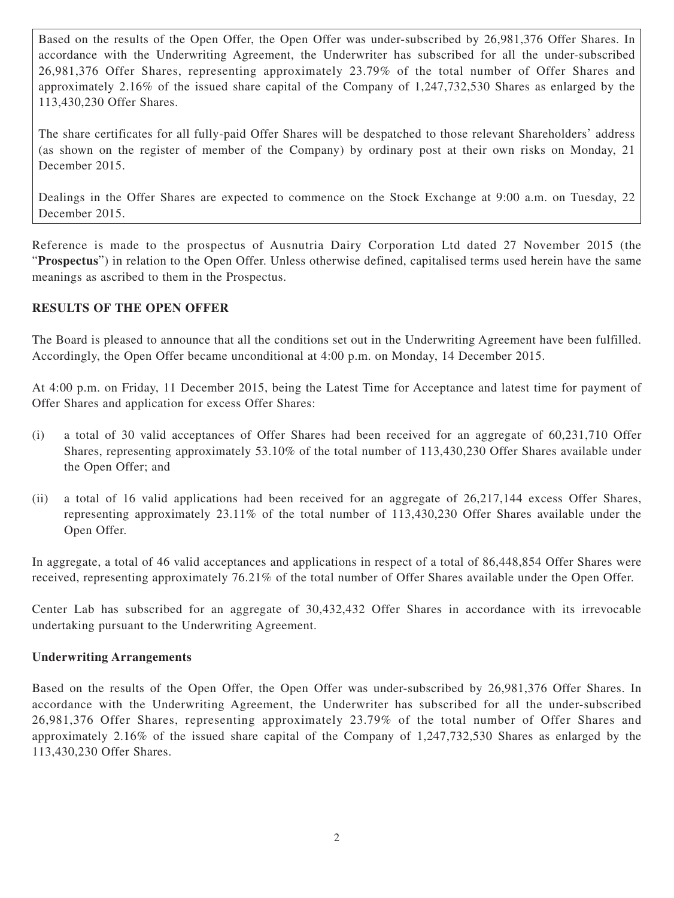Based on the results of the Open Offer, the Open Offer was under-subscribed by 26,981,376 Offer Shares. In accordance with the Underwriting Agreement, the Underwriter has subscribed for all the under-subscribed 26,981,376 Offer Shares, representing approximately 23.79% of the total number of Offer Shares and approximately 2.16% of the issued share capital of the Company of 1,247,732,530 Shares as enlarged by the 113,430,230 Offer Shares.

The share certificates for all fully-paid Offer Shares will be despatched to those relevant Shareholders' address (as shown on the register of member of the Company) by ordinary post at their own risks on Monday, 21 December 2015.

Dealings in the Offer Shares are expected to commence on the Stock Exchange at 9:00 a.m. on Tuesday, 22 December 2015.

Reference is made to the prospectus of Ausnutria Dairy Corporation Ltd dated 27 November 2015 (the "**Prospectus**") in relation to the Open Offer. Unless otherwise defined, capitalised terms used herein have the same meanings as ascribed to them in the Prospectus.

### **RESULTS OF THE OPEN OFFER**

The Board is pleased to announce that all the conditions set out in the Underwriting Agreement have been fulfilled. Accordingly, the Open Offer became unconditional at 4:00 p.m. on Monday, 14 December 2015.

At 4:00 p.m. on Friday, 11 December 2015, being the Latest Time for Acceptance and latest time for payment of Offer Shares and application for excess Offer Shares:

- (i) a total of 30 valid acceptances of Offer Shares had been received for an aggregate of 60,231,710 Offer Shares, representing approximately 53.10% of the total number of 113,430,230 Offer Shares available under the Open Offer; and
- (ii) a total of 16 valid applications had been received for an aggregate of 26,217,144 excess Offer Shares, representing approximately 23.11% of the total number of 113,430,230 Offer Shares available under the Open Offer.

In aggregate, a total of 46 valid acceptances and applications in respect of a total of 86,448,854 Offer Shares were received, representing approximately 76.21% of the total number of Offer Shares available under the Open Offer.

Center Lab has subscribed for an aggregate of 30,432,432 Offer Shares in accordance with its irrevocable undertaking pursuant to the Underwriting Agreement.

#### **Underwriting Arrangements**

Based on the results of the Open Offer, the Open Offer was under-subscribed by 26,981,376 Offer Shares. In accordance with the Underwriting Agreement, the Underwriter has subscribed for all the under-subscribed 26,981,376 Offer Shares, representing approximately 23.79% of the total number of Offer Shares and approximately 2.16% of the issued share capital of the Company of 1,247,732,530 Shares as enlarged by the 113,430,230 Offer Shares.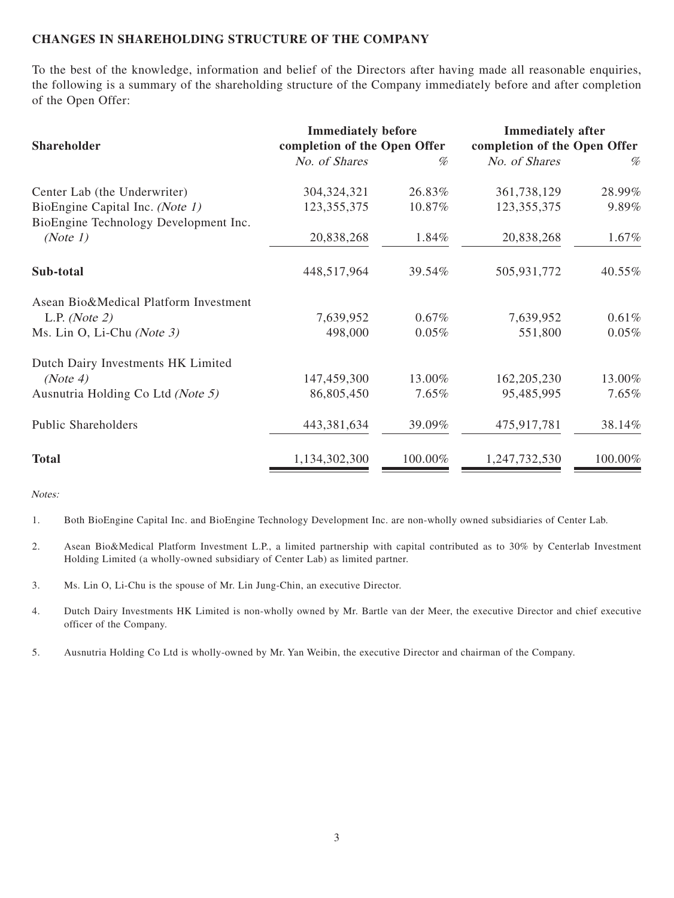#### **CHANGES IN SHAREHOLDING STRUCTURE OF THE COMPANY**

To the best of the knowledge, information and belief of the Directors after having made all reasonable enquiries, the following is a summary of the shareholding structure of the Company immediately before and after completion of the Open Offer:

| Shareholder                                                              | <b>Immediately before</b><br>completion of the Open Offer |          | <b>Immediately after</b><br>completion of the Open Offer |         |
|--------------------------------------------------------------------------|-----------------------------------------------------------|----------|----------------------------------------------------------|---------|
|                                                                          | No. of Shares                                             | %        | No. of Shares                                            | %       |
| Center Lab (the Underwriter)                                             | 304, 324, 321                                             | 26.83%   | 361,738,129                                              | 28.99%  |
| BioEngine Capital Inc. (Note 1)<br>BioEngine Technology Development Inc. | 123, 355, 375                                             | 10.87%   | 123, 355, 375                                            | 9.89%   |
| (Note 1)                                                                 | 20,838,268                                                | 1.84%    | 20,838,268                                               | 1.67%   |
| Sub-total                                                                | 448,517,964                                               | 39.54%   | 505,931,772                                              | 40.55%  |
| Asean Bio&Medical Platform Investment                                    |                                                           |          |                                                          |         |
| L.P. ( <i>Note 2</i> )                                                   | 7,639,952                                                 | 0.67%    | 7,639,952                                                | 0.61%   |
| Ms. Lin O, Li-Chu (Note 3)                                               | 498,000                                                   | 0.05%    | 551,800                                                  | 0.05%   |
| Dutch Dairy Investments HK Limited                                       |                                                           |          |                                                          |         |
| (Note 4)                                                                 | 147,459,300                                               | 13.00%   | 162, 205, 230                                            | 13.00%  |
| Ausnutria Holding Co Ltd (Note 5)                                        | 86,805,450                                                | $7.65\%$ | 95,485,995                                               | 7.65%   |
| <b>Public Shareholders</b>                                               | 443,381,634                                               | 39.09%   | 475,917,781                                              | 38.14%  |
| <b>Total</b>                                                             | 1,134,302,300                                             | 100.00%  | 1,247,732,530                                            | 100.00% |

Notes:

1. Both BioEngine Capital Inc. and BioEngine Technology Development Inc. are non-wholly owned subsidiaries of Center Lab.

- 2. Asean Bio&Medical Platform Investment L.P., a limited partnership with capital contributed as to 30% by Centerlab Investment Holding Limited (a wholly-owned subsidiary of Center Lab) as limited partner.
- 3. Ms. Lin O, Li-Chu is the spouse of Mr. Lin Jung-Chin, an executive Director.
- 4. Dutch Dairy Investments HK Limited is non-wholly owned by Mr. Bartle van der Meer, the executive Director and chief executive officer of the Company.
- 5. Ausnutria Holding Co Ltd is wholly-owned by Mr. Yan Weibin, the executive Director and chairman of the Company.